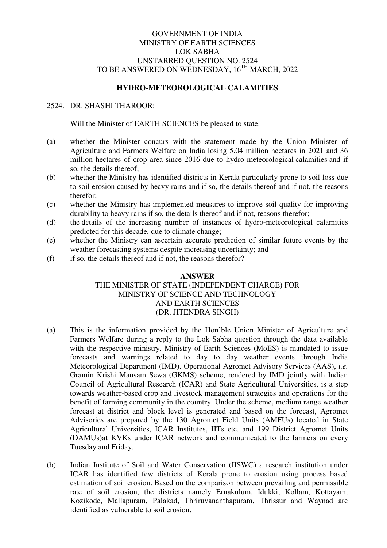## GOVERNMENT OF INDIA MINISTRY OF EARTH SCIENCES LOK SABHA UNSTARRED QUESTION NO. 2524 TO BE ANSWERED ON WEDNESDAY, 16<sup>TH</sup> MARCH, 2022

## **HYDRO-METEOROLOGICAL CALAMITIES**

## 2524. DR. SHASHI THAROOR:

Will the Minister of EARTH SCIENCES be pleased to state:

- (a) whether the Minister concurs with the statement made by the Union Minister of Agriculture and Farmers Welfare on India losing 5.04 million hectares in 2021 and 36 million hectares of crop area since 2016 due to hydro-meteorological calamities and if so, the details thereof;
- (b) whether the Ministry has identified districts in Kerala particularly prone to soil loss due to soil erosion caused by heavy rains and if so, the details thereof and if not, the reasons therefor;
- (c) whether the Ministry has implemented measures to improve soil quality for improving durability to heavy rains if so, the details thereof and if not, reasons therefor;
- (d) the details of the increasing number of instances of hydro-meteorological calamities predicted for this decade, due to climate change;
- (e) whether the Ministry can ascertain accurate prediction of similar future events by the weather forecasting systems despite increasing uncertainty; and
- (f) if so, the details thereof and if not, the reasons therefor?

## **ANSWER**  THE MINISTER OF STATE (INDEPENDENT CHARGE) FOR MINISTRY OF SCIENCE AND TECHNOLOGY AND EARTH SCIENCES (DR. JITENDRA SINGH)

- (a) This is the information provided by the Hon'ble Union Minister of Agriculture and Farmers Welfare during a reply to the Lok Sabha question through the data available with the respective ministry. Ministry of Earth Sciences (MoES) is mandated to issue forecasts and warnings related to day to day weather events through India Meteorological Department (IMD). Operational Agromet Advisory Services (AAS), *i.e.*  Gramin Krishi Mausam Sewa (GKMS) scheme, rendered by IMD jointly with Indian Council of Agricultural Research (ICAR) and State Agricultural Universities, is a step towards weather-based crop and livestock management strategies and operations for the benefit of farming community in the country. Under the scheme, medium range weather forecast at district and block level is generated and based on the forecast, Agromet Advisories are prepared by the 130 Agromet Field Units (AMFUs) located in State Agricultural Universities, ICAR Institutes, IITs etc. and 199 District Agromet Units (DAMUs)at KVKs under ICAR network and communicated to the farmers on every Tuesday and Friday.
- (b) Indian Institute of Soil and Water Conservation (IISWC) a research institution under ICAR has identified few districts of Kerala prone to erosion using process based estimation of soil erosion. Based on the comparison between prevailing and permissible rate of soil erosion, the districts namely Ernakulum, Idukki, Kollam, Kottayam, Kozikode, Mallapuram, Palakad, Thriruvananthapuram, Thrissur and Waynad are identified as vulnerable to soil erosion.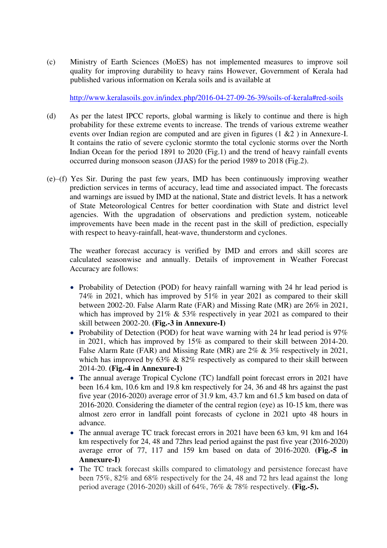(c) Ministry of Earth Sciences (MoES) has not implemented measures to improve soil quality for improving durability to heavy rains However, Government of Kerala had published various information on Kerala soils and is available at

<http://www.keralasoils.gov.in/index.php/2016-04-27-09-26-39/soils-of-kerala#red-soils>

- (d) As per the latest IPCC reports, global warming is likely to continue and there is high probability for these extreme events to increase. The trends of various extreme weather events over Indian region are computed and are given in figures (1 &2 ) in Annexure-I. It contains the ratio of severe cyclonic stormto the total cyclonic storms over the North Indian Ocean for the period 1891 to 2020 (Fig.1) and the trend of heavy rainfall events occurred during monsoon season (JJAS) for the period 1989 to 2018 (Fig.2).
- (e)–(f) Yes Sir. During the past few years, IMD has been continuously improving weather prediction services in terms of accuracy, lead time and associated impact. The forecasts and warnings are issued by IMD at the national, State and district levels. It has a network of State Meteorological Centres for better coordination with State and district level agencies. With the upgradation of observations and prediction system, noticeable improvements have been made in the recent past in the skill of prediction, especially with respect to heavy-rainfall, heat-wave, thunderstorm and cyclones.

The weather forecast accuracy is verified by IMD and errors and skill scores are calculated seasonwise and annually. Details of improvement in Weather Forecast Accuracy are follows:

- Probability of Detection (POD) for heavy rainfall warning with 24 hr lead period is 74% in 2021, which has improved by 51% in year 2021 as compared to their skill between 2002-20. False Alarm Rate (FAR) and Missing Rate (MR) are 26% in 2021, which has improved by 21% & 53% respectively in year 2021 as compared to their skill between 2002-20. **(Fig.-3 in Annexure-I)**
- Probability of Detection (POD) for heat wave warning with 24 hr lead period is  $97\%$ in 2021, which has improved by 15% as compared to their skill between 2014-20. False Alarm Rate (FAR) and Missing Rate (MR) are 2% & 3% respectively in 2021, which has improved by 63% & 82% respectively as compared to their skill between 2014-20. **(Fig.-4 in Annexure-I)**
- The annual average Tropical Cyclone (TC) landfall point forecast errors in 2021 have been 16.4 km, 10.6 km and 19.8 km respectively for 24, 36 and 48 hrs against the past five year (2016-2020) average error of 31.9 km, 43.7 km and 61.5 km based on data of 2016-2020. Considering the diameter of the central region (eye) as 10-15 km, there was almost zero error in landfall point forecasts of cyclone in 2021 upto 48 hours in advance.
- The annual average TC track forecast errors in 2021 have been 63 km, 91 km and 164 km respectively for 24, 48 and 72hrs lead period against the past five year (2016-2020) average error of 77, 117 and 159 km based on data of 2016-2020. **(Fig.-5 in Annexure-I)**
- The TC track forecast skills compared to climatology and persistence forecast have been 75%, 82% and 68% respectively for the 24, 48 and 72 hrs lead against the long period average (2016-2020) skill of 64%, 76% & 78% respectively. **(Fig.-5).**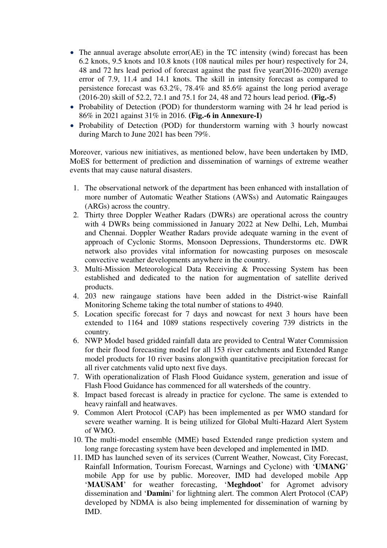- The annual average absolute error(AE) in the TC intensity (wind) forecast has been 6.2 knots, 9.5 knots and 10.8 knots (108 nautical miles per hour) respectively for 24, 48 and 72 hrs lead period of forecast against the past five year(2016-2020) average error of 7.9, 11.4 and 14.1 knots. The skill in intensity forecast as compared to persistence forecast was 63.2%, 78.4% and 85.6% against the long period average (2016-20) skill of 52.2, 72.1 and 75.1 for 24, 48 and 72 hours lead period. **(Fig.-5)**
- Probability of Detection (POD) for thunderstorm warning with 24 hr lead period is 86% in 2021 against 31% in 2016. **(Fig.-6 in Annexure-I)**
- Probability of Detection (POD) for thunderstorm warning with 3 hourly nowcast during March to June 2021 has been 79%.

 Moreover, various new initiatives, as mentioned below, have been undertaken by IMD, MoES for betterment of prediction and dissemination of warnings of extreme weather events that may cause natural disasters.

- 1. The observational network of the department has been enhanced with installation of more number of Automatic Weather Stations (AWSs) and Automatic Raingauges (ARGs) across the country.
- 2. Thirty three Doppler Weather Radars (DWRs) are operational across the country with 4 DWRs being commissioned in January 2022 at New Delhi, Leh, Mumbai and Chennai. Doppler Weather Radars provide adequate warning in the event of approach of Cyclonic Storms, Monsoon Depressions, Thunderstorms etc. DWR network also provides vital information for nowcasting purposes on mesoscale convective weather developments anywhere in the country.
- 3. Multi-Mission Meteorological Data Receiving & Processing System has been established and dedicated to the nation for augmentation of satellite derived products.
- 4. 203 new raingauge stations have been added in the District-wise Rainfall Monitoring Scheme taking the total number of stations to 4940.
- 5. Location specific forecast for 7 days and nowcast for next 3 hours have been extended to 1164 and 1089 stations respectively covering 739 districts in the country.
- 6. NWP Model based gridded rainfall data are provided to Central Water Commission for their flood forecasting model for all 153 river catchments and Extended Range model products for 10 river basins alongwith quantitative precipitation forecast for all river catchments valid upto next five days.
- 7. With operationalization of Flash Flood Guidance system, generation and issue of Flash Flood Guidance has commenced for all watersheds of the country.
- 8. Impact based forecast is already in practice for cyclone. The same is extended to heavy rainfall and heatwaves.
- 9. Common Alert Protocol (CAP) has been implemented as per WMO standard for severe weather warning. It is being utilized for Global Multi-Hazard Alert System of WMO.
- 10. The multi-model ensemble (MME) based Extended range prediction system and long range forecasting system have been developed and implemented in IMD.
- 11. IMD has launched seven of its services (Current Weather, Nowcast, City Forecast, Rainfall Information, Tourism Forecast, Warnings and Cyclone) with '**UMANG**' mobile App for use by public. Moreover, IMD had developed mobile App '**MAUSAM**' for weather forecasting, '**Meghdoot**' for Agromet advisory dissemination and '**Damin**i' for lightning alert. The common Alert Protocol (CAP) developed by NDMA is also being implemented for dissemination of warning by IMD.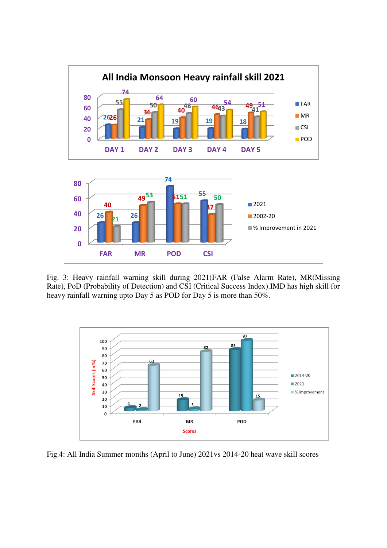

Fig. 3: Heavy rainfall warning skill during 2021(FAR (False Alarm Rate), MR(Missing Rate), PoD (Probability of Detection) and CSI (Critical Success Index).IMD has high skill for heavy rainfall warning upto Day 5 as POD for Day 5 is more than 50%.



Fig.4: All India Summer months (April to June) 2021vs 2014-20 heat wave skill scores